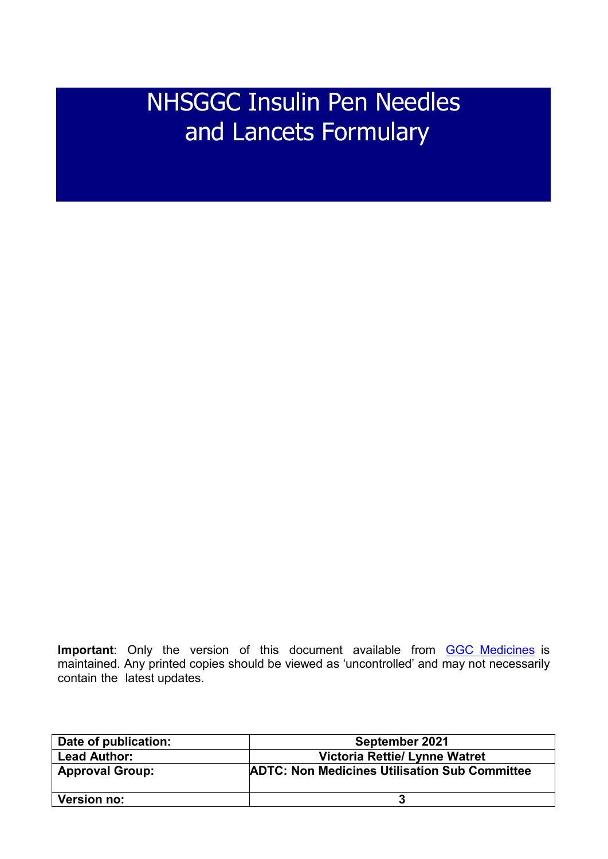# NHSGGC Insulin Pen Needles and Lancets Formulary

**Important**: Only the version of this document available from **[GGC Medicines](https://ggcmedicines.org.uk/other-formularies/non-medicines-formularies/)** is maintained. Any printed copies should be viewed as 'uncontrolled' and may not necessarily contain the latest updates.

| Date of publication:   | September 2021                                       |  |  |
|------------------------|------------------------------------------------------|--|--|
| <b>Lead Author:</b>    | <b>Victoria Rettie/ Lynne Watret</b>                 |  |  |
| <b>Approval Group:</b> | <b>ADTC: Non Medicines Utilisation Sub Committee</b> |  |  |
| <b>Version no:</b>     |                                                      |  |  |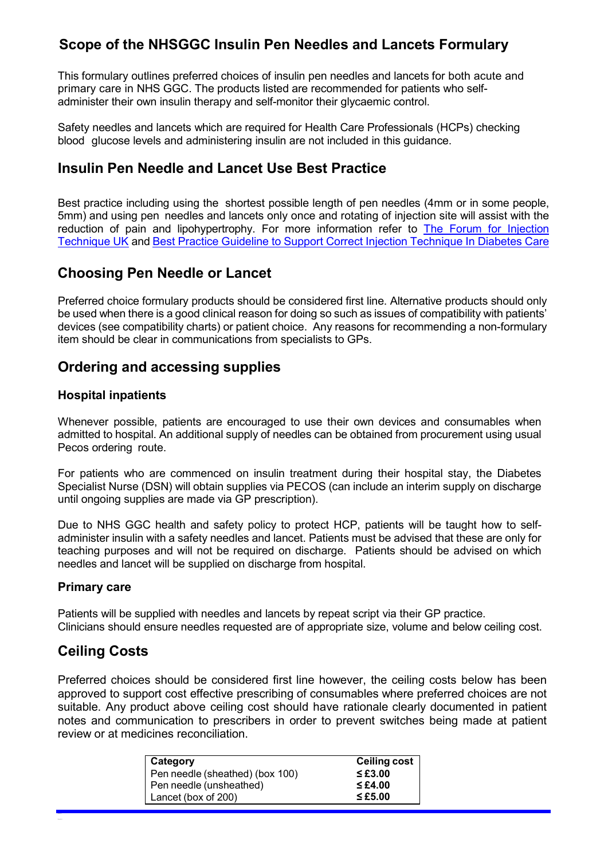# **Scope of the NHSGGC Insulin Pen Needles and Lancets Formulary**

This formulary outlines preferred choices of insulin pen needles and lancets for both acute and primary care in NHS GGC. The products listed are recommended for patients who selfadminister their own insulin therapy and self-monitor their glycaemic control.

Safety needles and lancets which are required for Health Care Professionals (HCPs) checking blood glucose levels and administering insulin are not included in this guidance.

## **Insulin Pen Needle and Lancet Use Best Practice**

Best practice including using the shortest possible length of pen needles (4mm or in some people, 5mm) and using pen needles and lancets only once and rotating of injection site will assist with the reduction of pain and lipohypertrophy. For more information refer to [The Forum for Injection](http://www.fit4diabetes.com/files/4514/7946/3482/FIT_UK_Recommendations_4th_Edition.pdf)  [Technique UK](http://www.fit4diabetes.com/files/4514/7946/3482/FIT_UK_Recommendations_4th_Edition.pdf) and [Best Practice Guideline to Support Correct Injection Technique In Diabetes Care](https://trenddiabetes.online/wp-content/uploads/2018/11/ITM-Guideline_v9-FINAL-251018.pdf)

## **Choosing Pen Needle or Lancet**

Preferred choice formulary products should be considered first line. Alternative products should only be used when there is a good clinical reason for doing so such as issues of compatibility with patients' devices (see compatibility charts) or patient choice. Any reasons for recommending a non-formulary item should be clear in communications from specialists to GPs.

## **Ordering and accessing supplies**

#### **Hospital inpatients**

Whenever possible, patients are encouraged to use their own devices and consumables when admitted to hospital. An additional supply of needles can be obtained from procurement using usual Pecos ordering route.

For patients who are commenced on insulin treatment during their hospital stay, the Diabetes Specialist Nurse (DSN) will obtain supplies via PECOS (can include an interim supply on discharge until ongoing supplies are made via GP prescription).

Due to NHS GGC health and safety policy to protect HCP, patients will be taught how to selfadminister insulin with a safety needles and lancet. Patients must be advised that these are only for teaching purposes and will not be required on discharge. Patients should be advised on which needles and lancet will be supplied on discharge from hospital.

#### **Primary care**

Patients will be supplied with needles and lancets by repeat script via their GP practice. Clinicians should ensure needles requested are of appropriate size, volume and below ceiling cost.

### **Ceiling Costs**

Preferred choices should be considered first line however, the ceiling costs below has been approved to support cost effective prescribing of consumables where preferred choices are not suitable. Any product above ceiling cost should have rationale clearly documented in patient notes and communication to prescribers in order to prevent switches being made at patient review or at medicines reconciliation.

| <b>Category</b>                 | <b>Ceiling cost</b> |
|---------------------------------|---------------------|
| Pen needle (sheathed) (box 100) | $\leq$ £3.00        |
| Pen needle (unsheathed)         | $\leq$ £4.00        |
| Lancet (box of 200)             | $\leq$ £5.00        |